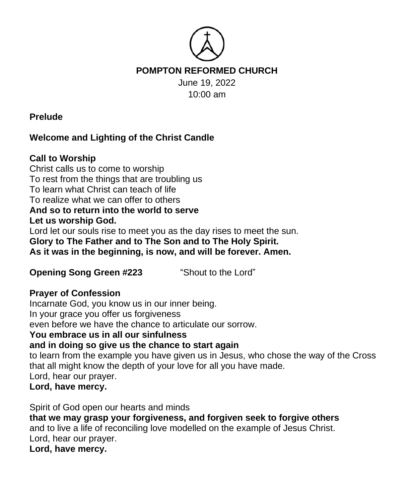

**Prelude**

# **Welcome and Lighting of the Christ Candle**

## **Call to Worship**

Christ calls us to come to worship To rest from the things that are troubling us To learn what Christ can teach of life To realize what we can offer to others **And so to return into the world to serve Let us worship God.** Lord let our souls rise to meet you as the day rises to meet the sun. **Glory to The Father and to The Son and to The Holy Spirit. As it was in the beginning, is now, and will be forever. Amen.** 

**Opening Song Green #223** "Shout to the Lord"

### **Prayer of Confession**

Incarnate God, you know us in our inner being. In your grace you offer us forgiveness even before we have the chance to articulate our sorrow. **You embrace us in all our sinfulness and in doing so give us the chance to start again** to learn from the example you have given us in Jesus, who chose the way of the Cross that all might know the depth of your love for all you have made. Lord, hear our prayer. **Lord, have mercy.**

Spirit of God open our hearts and minds

**that we may grasp your forgiveness, and forgiven seek to forgive others** and to live a life of reconciling love modelled on the example of Jesus Christ. Lord, hear our prayer.

**Lord, have mercy.**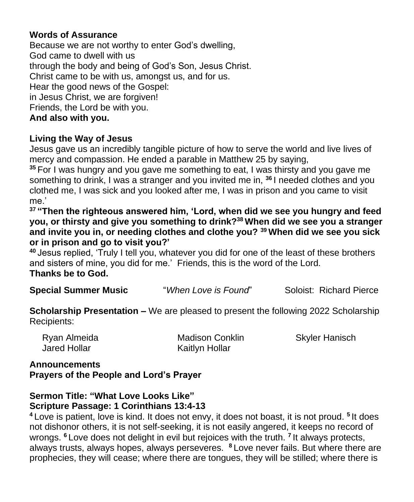### **Words of Assurance**

Because we are not worthy to enter God's dwelling, God came to dwell with us through the body and being of God's Son, Jesus Christ. Christ came to be with us, amongst us, and for us. Hear the good news of the Gospel: in Jesus Christ, we are forgiven! Friends, the Lord be with you. **And also with you.** 

### **Living the Way of Jesus**

Jesus gave us an incredibly tangible picture of how to serve the world and live lives of mercy and compassion. He ended a parable in Matthew 25 by saying,

**<sup>35</sup>** For I was hungry and you gave me something to eat, I was thirsty and you gave me something to drink, I was a stranger and you invited me in, **<sup>36</sup>** I needed clothes and you clothed me, I was sick and you looked after me, I was in prison and you came to visit me.'

**<sup>37</sup> "Then the righteous answered him, 'Lord, when did we see you hungry and feed you, or thirsty and give you something to drink?<sup>38</sup> When did we see you a stranger and invite you in, or needing clothes and clothe you? <sup>39</sup> When did we see you sick or in prison and go to visit you?'**

**<sup>40</sup>** Jesus replied, 'Truly I tell you, whatever you did for one of the least of these brothers and sisters of mine, you did for me.' Friends, this is the word of the Lord. **Thanks be to God.** 

**Special Summer Music** "*When Love is Found*" Soloist: Richard Pierce

**Scholarship Presentation –** We are pleased to present the following 2022 Scholarship Recipients:

| Ryan Almeida | <b>Madison Conklin</b> | <b>Skyler Hanisch</b> |
|--------------|------------------------|-----------------------|
| Jared Hollar | Kaitlyn Hollar         |                       |

### **Announcements Prayers of the People and Lord's Prayer**

#### **Sermon Title: "What Love Looks Like" Scripture Passage: 1 Corinthians 13:4-13**

**<sup>4</sup>** Love is patient, love is kind. It does not envy, it does not boast, it is not proud. **<sup>5</sup>** It does not dishonor others, it is not self-seeking, it is not easily angered, it keeps no record of wrongs. **<sup>6</sup>** Love does not delight in evil but rejoices with the truth. **<sup>7</sup>** It always protects, always trusts, always hopes, always perseveres. **<sup>8</sup>** Love never fails. But where there are prophecies, they will cease; where there are tongues, they will be stilled; where there is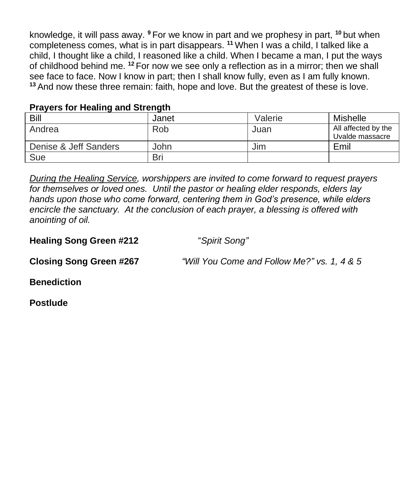knowledge, it will pass away. **<sup>9</sup>** For we know in part and we prophesy in part, **<sup>10</sup>** but when completeness comes, what is in part disappears. **<sup>11</sup>** When I was a child, I talked like a child, I thought like a child, I reasoned like a child. When I became a man, I put the ways of childhood behind me. **<sup>12</sup>** For now we see only a reflection as in a mirror; then we shall see face to face. Now I know in part; then I shall know fully, even as I am fully known. **<sup>13</sup>** And now these three remain: faith, hope and love. But the greatest of these is love.

#### **Prayers for Healing and Strength**

| Bill                  | Janet | Valerie | Mishelle                               |
|-----------------------|-------|---------|----------------------------------------|
| Andrea                | Rob   | Juan    | All affected by the<br>Uvalde massacre |
| Denise & Jeff Sanders | John  | Jim     | Emil                                   |
| Sue                   | Bri   |         |                                        |

*During the Healing Service, worshippers are invited to come forward to request prayers for themselves or loved ones. Until the pastor or healing elder responds, elders lay hands upon those who come forward, centering them in God's presence, while elders encircle the sanctuary. At the conclusion of each prayer, a blessing is offered with anointing of oil.*

**Healing Song Green #212** "*Spirit Song"*

**Closing Song Green #267** *"Will You Come and Follow Me?" vs. 1, 4 & 5*

**Benediction**

**Postlude**